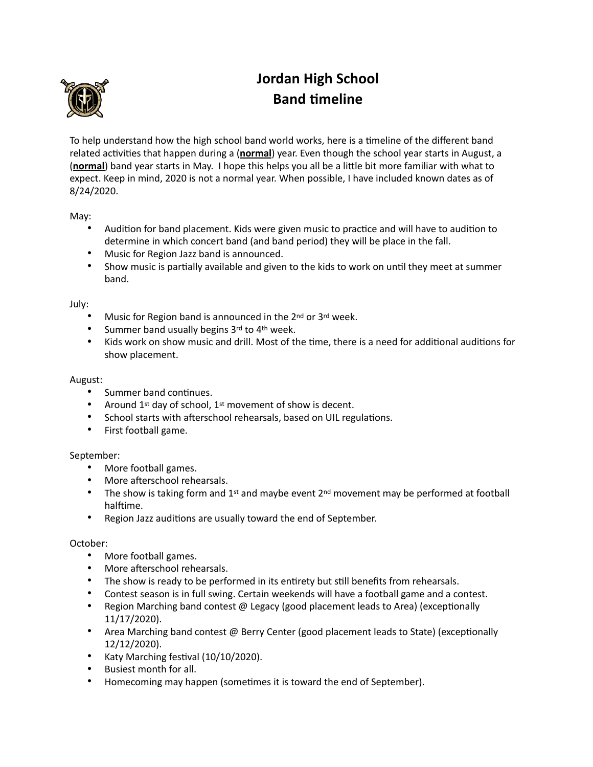

# **Jordan High School Band timeline**

To help understand how the high school band world works, here is a timeline of the different band related activities that happen during a (**normal**) year. Even though the school year starts in August, a (**normal**) band year starts in May. I hope this helps you all be a little bit more familiar with what to expect. Keep in mind, 2020 is not a normal year. When possible, I have included known dates as of 8/24/2020.

May:

- Audition for band placement. Kids were given music to practice and will have to audition to determine in which concert band (and band period) they will be place in the fall.
- Music for Region Jazz band is announced.
- Show music is partially available and given to the kids to work on until they meet at summer band.

July:

- Music for Region band is announced in the 2nd or 3rd week.
- Summer band usually begins 3rd to 4th week.
- Kids work on show music and drill. Most of the time, there is a need for additional auditions for show placement.

## August:

- Summer band continues.
- Around 1<sup>st</sup> day of school, 1<sup>st</sup> movement of show is decent.
- School starts with afterschool rehearsals, based on UIL regulations.
- First football game.

## September:

- More football games.
- More afterschool rehearsals.
- The show is taking form and 1<sup>st</sup> and maybe event  $2^{nd}$  movement may be performed at football halftime.
- Region Jazz auditions are usually toward the end of September.

## October:

- More football games.
- More afterschool rehearsals.
- The show is ready to be performed in its entirety but still benefits from rehearsals.
- Contest season is in full swing. Certain weekends will have a football game and a contest.
- Region Marching band contest  $\omega$  Legacy (good placement leads to Area) (exceptionally 11/17/2020).
- Area Marching band contest  $@$  Berry Center (good placement leads to State) (exceptionally 12/12/2020).
- Katy Marching festival  $(10/10/2020)$ .
- Busiest month for all.
- Homecoming may happen (sometimes it is toward the end of September).